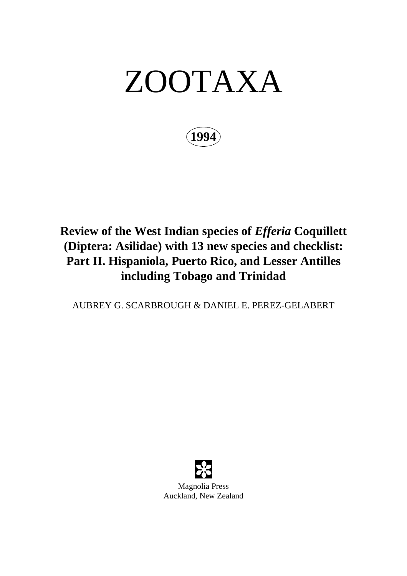# ZOOTAXA

**1994**

## **Review of the West Indian species of** *Efferia* **Coquillett (Diptera: Asilidae) with 13 new species and checklist: Part II. Hispaniola, Puerto Rico, and Lesser Antilles including Tobago and Trinidad**

AUBREY G. SCARBROUGH & DANIEL E. PEREZ-GELABERT



Auckland, New Zealand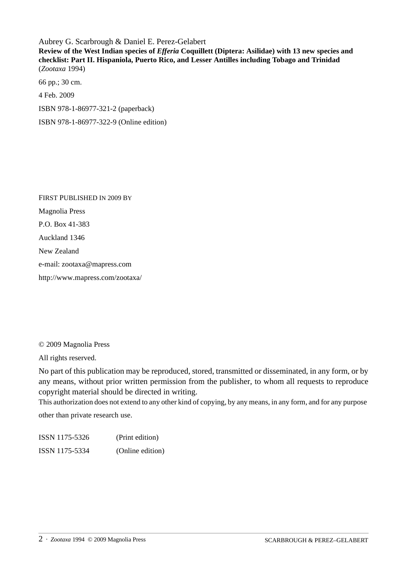Aubrey G. Scarbrough & Daniel E. Perez-Gelabert **Review of the West Indian species of** *Efferia* **Coquillett (Diptera: Asilidae) with 13 new species and checklist: Part II. Hispaniola, Puerto Rico, and Lesser Antilles including Tobago and Trinidad** (*Zootaxa* 1994)

66 pp.; 30 cm. 4 Feb. 2009 ISBN 978-1-86977-321-2 (paperback) ISBN 978-1-86977-322-9 (Online edition)

FIRST PUBLISHED IN 2009 BY Magnolia Press P.O. Box 41-383 Auckland 1346 New Zealand e-mail: zootaxa@mapress.com http://www.mapress.com/zootaxa/

© 2009 Magnolia Press

All rights reserved.

No part of this publication may be reproduced, stored, transmitted or disseminated, in any form, or by any means, without prior written permission from the publisher, to whom all requests to reproduce copyright material should be directed in writing.

This authorization does not extend to any other kind of copying, by any means, in any form, and for any purpose

other than private research use.

ISSN 1175-5326 (Print edition) ISSN 1175-5334 (Online edition)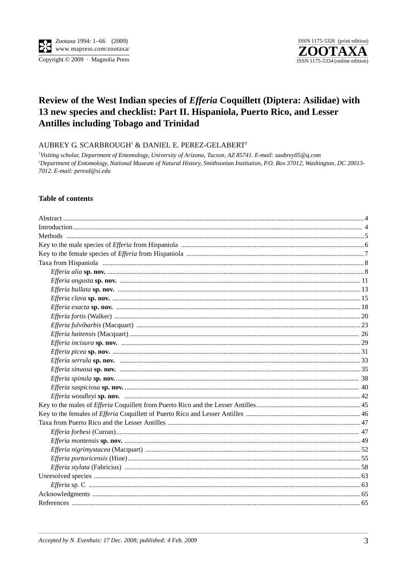Copyright © 2009 · Magnolia Press



### Review of the West Indian species of *Efferia* Coquillett (Diptera: Asilidae) with 13 new species and checklist: Part II. Hispaniola, Puerto Rico, and Lesser **Antilles including Tobago and Trinidad**

AUBREY G. SCARBROUGH<sup>1</sup> & DANIEL E. PEREZ-GELABERT<sup>2</sup>

<sup>1</sup>Visiting scholar, Department of Entomology, University of Arizona, Tucson, AZ 85741. E-mail: saubrey05@q.com <sup>2</sup>Department of Entomology, National Museum of Natural History, Smithsonian Institution, P.O. Box 37012, Washington, DC 20013-7012. E-mail: perezd@si.edu

#### **Table of contents**